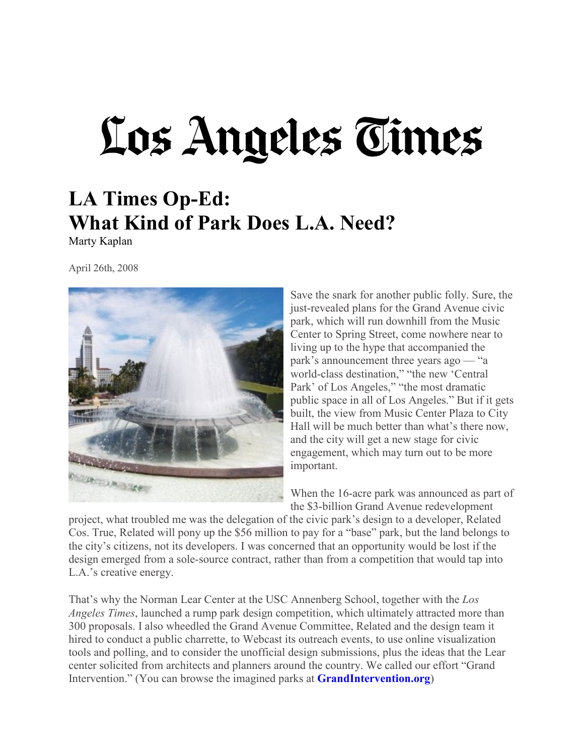## Los Angeles Times

## **LA Times Op-Ed: What Kind of Park Does L.A. Need?**

Marty Kaplan

April 26th, 2008



Save the snark for another public folly. Sure, the just-revealed plans for the Grand Avenue civic park, which will run downhill from the Music Center to Spring Street, come nowhere near to living up to the hype that accompanied the park's announcement three years ago — "a world-class destination," "the new 'Central Park' of Los Angeles," "the most dramatic public space in all of Los Angeles." But if it gets built, the view from Music Center Plaza to City Hall will be much better than what's there now, and the city will get a new stage for civic engagement, which may turn out to be more important.

When the 16-acre park was announced as part of the \$3-billion Grand Avenue redevelopment

project, what troubled me was the delegation of the civic park's design to a developer, Related Cos. True, Related will pony up the \$56 million to pay for a "base" park, but the land belongs to the city's citizens, not its developers. I was concerned that an opportunity would be lost if the design emerged from a sole-source contract, rather than from a competition that would tap into L.A.'s creative energy.

That's why the Norman Lear Center at the USC Annenberg School, together with the *Los Angeles Times*, launched a rump park design competition, which ultimately attracted more than 300 proposals. I also wheedled the Grand Avenue Committee, Related and the design team it hired to conduct a public charrette, to Webcast its outreach events, to use online visualization tools and polling, and to consider the unofficial design submissions, plus the ideas that the Lear center solicited from architects and planners around the country. We called our effort "Grand Intervention." (You can browse the imagined parks at **[GrandIntervention.org](https://learcenter.org/project/grand/)**)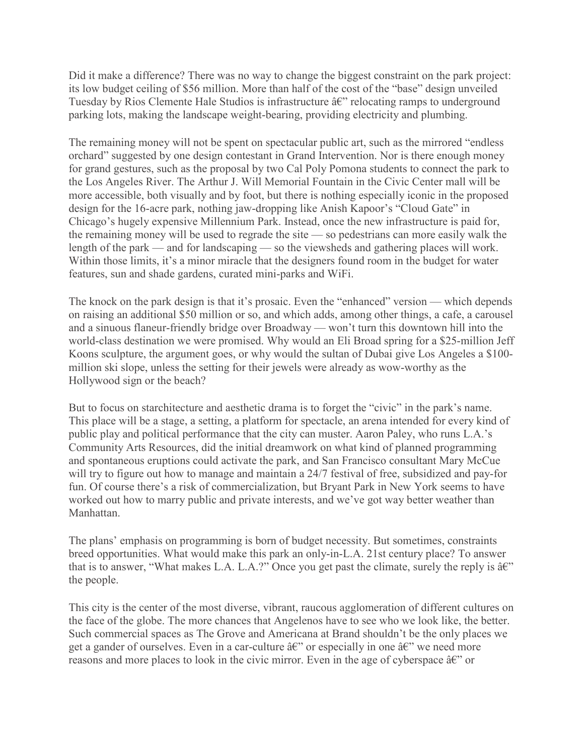Did it make a difference? There was no way to change the biggest constraint on the park project: its low budget ceiling of \$56 million. More than half of the cost of the "base" design unveiled Tuesday by Rios Clemente Hale Studios is infrastructure  $\hat{a}\hat{\epsilon}$ " relocating ramps to underground parking lots, making the landscape weight-bearing, providing electricity and plumbing.

The remaining money will not be spent on spectacular public art, such as the mirrored "endless orchard" suggested by one design contestant in Grand Intervention. Nor is there enough money for grand gestures, such as the proposal by two Cal Poly Pomona students to connect the park to the Los Angeles River. The Arthur J. Will Memorial Fountain in the Civic Center mall will be more accessible, both visually and by foot, but there is nothing especially iconic in the proposed design for the 16-acre park, nothing jaw-dropping like Anish Kapoor's "Cloud Gate" in Chicago's hugely expensive Millennium Park. Instead, once the new infrastructure is paid for, the remaining money will be used to regrade the site — so pedestrians can more easily walk the length of the park — and for landscaping — so the viewsheds and gathering places will work. Within those limits, it's a minor miracle that the designers found room in the budget for water features, sun and shade gardens, curated mini-parks and WiFi.

The knock on the park design is that it's prosaic. Even the "enhanced" version — which depends on raising an additional \$50 million or so, and which adds, among other things, a cafe, a carousel and a sinuous flaneur-friendly bridge over Broadway — won't turn this downtown hill into the world-class destination we were promised. Why would an Eli Broad spring for a \$25-million Jeff Koons sculpture, the argument goes, or why would the sultan of Dubai give Los Angeles a \$100 million ski slope, unless the setting for their jewels were already as wow-worthy as the Hollywood sign or the beach?

But to focus on starchitecture and aesthetic drama is to forget the "civic" in the park's name. This place will be a stage, a setting, a platform for spectacle, an arena intended for every kind of public play and political performance that the city can muster. Aaron Paley, who runs L.A.'s Community Arts Resources, did the initial dreamwork on what kind of planned programming and spontaneous eruptions could activate the park, and San Francisco consultant Mary McCue will try to figure out how to manage and maintain a 24/7 festival of free, subsidized and pay-for fun. Of course there's a risk of commercialization, but Bryant Park in New York seems to have worked out how to marry public and private interests, and we've got way better weather than Manhattan.

The plans' emphasis on programming is born of budget necessity. But sometimes, constraints breed opportunities. What would make this park an only-in-L.A. 21st century place? To answer that is to answer, "What makes L.A. L.A.?" Once you get past the climate, surely the reply is  $\hat{a}\hat{\epsilon}$ " the people.

This city is the center of the most diverse, vibrant, raucous agglomeration of different cultures on the face of the globe. The more chances that Angelenos have to see who we look like, the better. Such commercial spaces as The Grove and Americana at Brand shouldn't be the only places we get a gander of ourselves. Even in a car-culture  $\hat{a} \hat{\epsilon}$ " or especially in one  $\hat{a} \hat{\epsilon}$ " we need more reasons and more places to look in the civic mirror. Even in the age of cyberspace  $\hat{a}\hat{\epsilon}$ " or